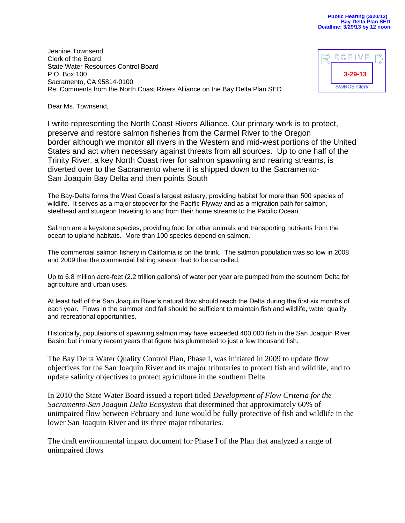Jeanine Townsend Clerk of the Board State Water Resources Control Board P.O. Box 100 Sacramento, CA 95814-0100 Re: Comments from the North Coast Rivers Alliance on the Bay Delta Plan SED

| ECEIVE             |  |
|--------------------|--|
| $3 - 29 - 13$      |  |
| <b>SWRCB Clerk</b> |  |

Dear Ms. Townsend,

I write representing the North Coast Rivers Alliance. Our primary work is to protect, preserve and restore salmon fisheries from the Carmel River to the Oregon border although we monitor all rivers in the Western and mid-west portions of the United States and act when necessary against threats from all sources. Up to one half of the Trinity River, a key North Coast river for salmon spawning and rearing streams, is diverted over to the Sacramento where it is shipped down to the Sacramento-San Joaquin Bay Delta and then points South

The Bay-Delta forms the West Coast's largest estuary, providing habitat for more than 500 species of wildlife. It serves as a major stopover for the Pacific Flyway and as a migration path for salmon, steelhead and sturgeon traveling to and from their home streams to the Pacific Ocean.

Salmon are a keystone species, providing food for other animals and transporting nutrients from the ocean to upland habitats. More than 100 species depend on salmon.

The commercial salmon fishery in California is on the brink. The salmon population was so low in 2008 and 2009 that the commercial fishing season had to be cancelled.

Up to 6.8 million acre-feet (2.2 trillion gallons) of water per year are pumped from the southern Delta for agriculture and urban uses.

At least half of the San Joaquin River's natural flow should reach the Delta during the first six months of each year. Flows in the summer and fall should be sufficient to maintain fish and wildlife, water quality and recreational opportunities.

Historically, populations of spawning salmon may have exceeded 400,000 fish in the San Joaquin River Basin, but in many recent years that figure has plummeted to just a few thousand fish.

The Bay Delta Water Quality Control Plan, Phase I, was initiated in 2009 to update flow objectives for the San Joaquin River and its major tributaries to protect fish and wildlife, and to update salinity objectives to protect agriculture in the southern Delta.

In 2010 the State Water Board issued a report titled *Development of Flow Criteria for the Sacramento-San Joaquin Delta Ecosystem* that determined that approximately 60% of unimpaired flow between February and June would be fully protective of fish and wildlife in the lower San Joaquin River and its three major tributaries.

The draft environmental impact document for Phase I of the Plan that analyzed a range of unimpaired flows